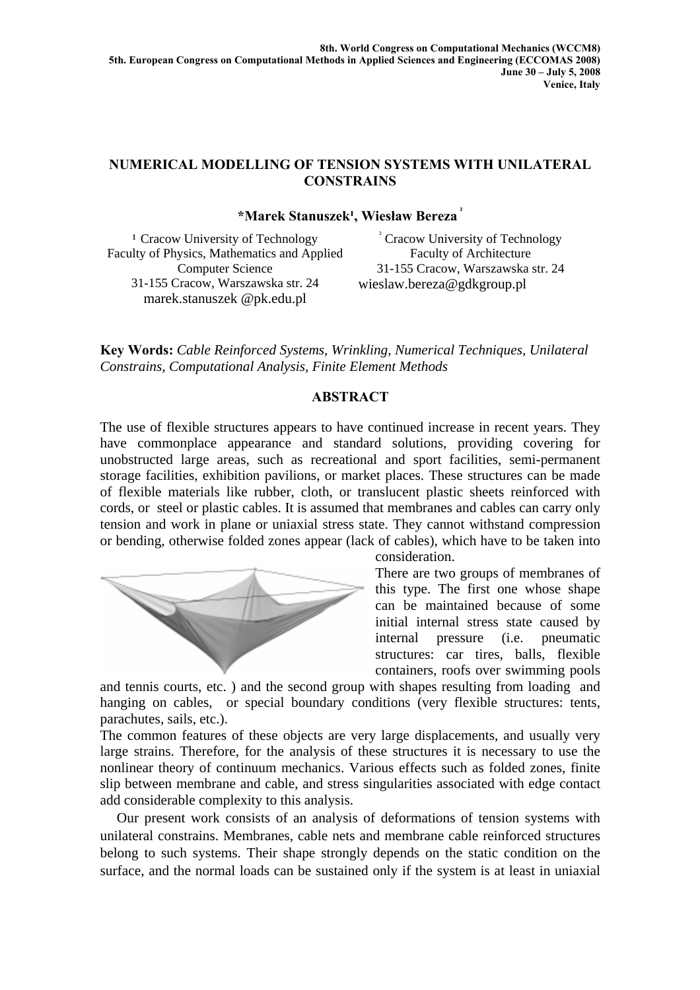## **NUMERICAL MODELLING OF TENSION SYSTEMS WITH UNILATERAL CONSTRAINS**

## **\*Marek Stanuszek¹, Wiesław Bereza ²**

<sup>1</sup> Cracow University of Technology Faculty of Physics, Mathematics and Applied Computer Science 31-155 Cracow, Warszawska str. 24 marek.stanuszek @pk.edu.pl

² Cracow University of Technology Faculty of Architecture 31-155 Cracow, Warszawska str. 24 wieslaw.bereza@gdkgroup.pl

**Key Words:** *Cable Reinforced Systems, Wrinkling, Numerical Techniques, Unilateral Constrains, Computational Analysis, Finite Element Methods* 

## **ABSTRACT**

The use of flexible structures appears to have continued increase in recent years. They have commonplace appearance and standard solutions, providing covering for unobstructed large areas, such as recreational and sport facilities, semi-permanent storage facilities, exhibition pavilions, or market places. These structures can be made of flexible materials like rubber, cloth, or translucent plastic sheets reinforced with cords, or steel or plastic cables. It is assumed that membranes and cables can carry only tension and work in plane or uniaxial stress state. They cannot withstand compression or bending, otherwise folded zones appear (lack of cables), which have to be taken into



consideration.

There are two groups of membranes of this type. The first one whose shape can be maintained because of some initial internal stress state caused by internal pressure (i.e. pneumatic structures: car tires, balls, flexible containers, roofs over swimming pools

and tennis courts, etc. ) and the second group with shapes resulting from loading and hanging on cables, or special boundary conditions (very flexible structures: tents, parachutes, sails, etc.).

The common features of these objects are very large displacements, and usually very large strains. Therefore, for the analysis of these structures it is necessary to use the nonlinear theory of continuum mechanics. Various effects such as folded zones, finite slip between membrane and cable, and stress singularities associated with edge contact add considerable complexity to this analysis.

Our present work consists of an analysis of deformations of tension systems with unilateral constrains. Membranes, cable nets and membrane cable reinforced structures belong to such systems. Their shape strongly depends on the static condition on the surface, and the normal loads can be sustained only if the system is at least in uniaxial